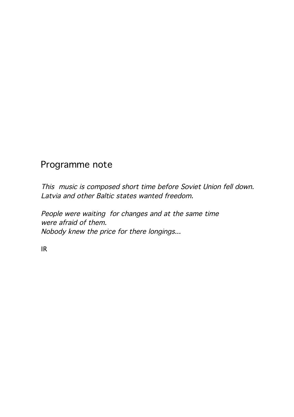## Programme note

This music is composed short time before Soviet Union fell down. Latvia and other Baltic states wanted freedom.

People were waiting for changes and at the same time were afraid of them. Nobody knew the price for there longings...

IR